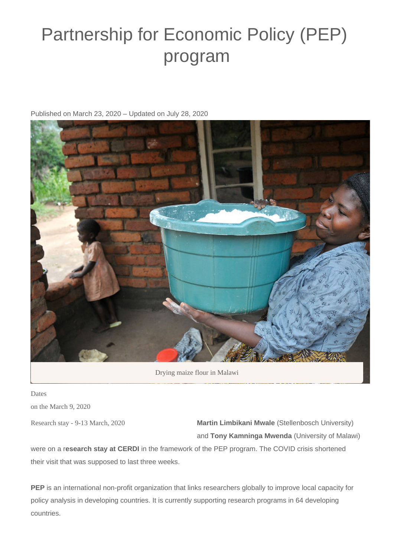## Partnership for Economic Policy (PEP) program

Published on March 23, 2020 – Updated on July 28, 2020



Drying maize flour in Malawi

Dates on the March 9, 2020

Research stay - 9-13 March, 2020

**Martin Limbikani Mwale** (Stellenbosch University) and **Tony Kamninga Mwenda** (University of Malawi)

were on a r**esearch stay at CERDI** in the framework of the PEP program. The COVID crisis shortened their visit that was supposed to last three weeks.

**PEP** is an international non-profit organization that links researchers globally to improve local capacity for policy analysis in developing countries. It is currently supporting research programs in 64 developing countries.